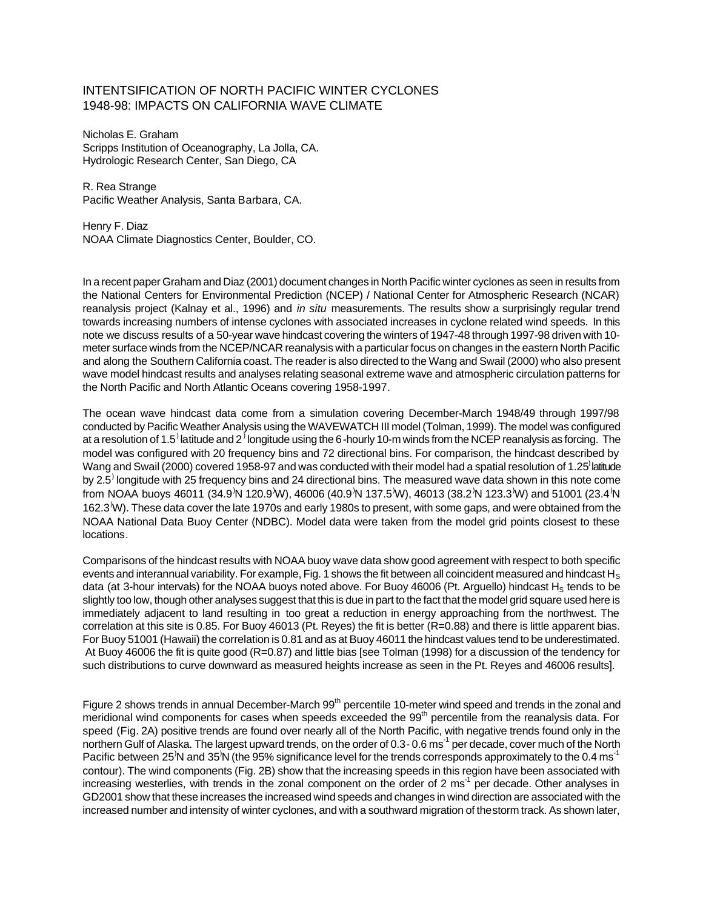## INTENTSIFICATION OF NORTH PACIFIC WINTER CYCLONES 1948-98: IMPACTS ON CALIFORNIA WAVE CLIMATE

Nicholas E. Graham Scripps Institution of Oceanography, La Jolla, CA. Hydrologic Research Center, San Diego, CA

R. Rea Strange Pacific Weather Analysis, Santa Barbara, CA.

Henry F. Diaz NOAA Climate Diagnostics Center, Boulder, CO.

In a recent paper Graham and Diaz (2001) document changes in North Pacific winter cyclones as seen in results from the National Centers for Environmental Prediction (NCEP) / National Center for Atmospheric Research (NCAR) reanalysis project (Kalnay et al., 1996) and *in situ* measurements. The results show a surprisingly regular trend towards increasing numbers of intense cyclones with associated increases in cyclone related wind speeds. In this note we discuss results of a 50-year wave hindcast covering the winters of 1947-48 through 1997-98 driven with 10 meter surface winds from the NCEP/NCAR reanalysis with a particular focus on changes in the eastern North Pacific and along the Southern California coast. The reader is also directed to the Wang and Swail (2000) who also present wave model hindcast results and analyses relating seasonal extreme wave and atmospheric circulation patterns for the North Pacific and North Atlantic Oceans covering 1958-1997.

The ocean wave hindcast data come from a simulation covering December-March 1948/49 through 1997/98 conducted by Pacific Weather Analysis using the WAVEWATCH III model (Tolman, 1999). The model was configured at a resolution of 1.5<sup>)</sup> latitude and 2<sup>)</sup> longitude using the 6-hourly 10-m winds from the NCEP reanalysis as forcing. The model was configured with 20 frequency bins and 72 directional bins. For comparison, the hindcast described by Wang and Swail (2000) covered 1958-97 and was conducted with their model had a spatial resolution of 1.25<sup>)</sup> latitude by 2.5<sup>)</sup> longitude with 25 frequency bins and 24 directional bins. The measured wave data shown in this note come from NOAA buoys 46011 (34.9<sup>)</sup>N 120.9<sup>'</sup>W), 46006 (40.9<sup>'</sup>N 137.5<sup>'</sup>W), 46013 (38.2<sup>'N</sup> 123.3<sup>'</sup>W) and 51001 (23.4<sup>'N</sup> 162.3)W). These data cover the late 1970s and early 1980s to present, with some gaps, and were obtained from the NOAA National Data Buoy Center (NDBC). Model data were taken from the model grid points closest to these locations.

Comparisons of the hindcast results with NOAA buoy wave data show good agreement with respect to both specific events and interannual variability. For example, Fig. 1 shows the fit between all coincident measured and hindcast  $H_s$ data (at 3-hour intervals) for the NOAA buoys noted above. For Buoy 46006 (Pt. Arguello) hindcast  $H_s$  tends to be slightly too low, though other analyses suggest that this is due in part to the fact that the model grid square used here is immediately adjacent to land resulting in too great a reduction in energy approaching from the northwest. The correlation at this site is 0.85. For Buoy 46013 (Pt. Reyes) the fit is better (R=0.88) and there is little apparent bias. For Buoy 51001 (Hawaii) the correlation is 0.81 and as at Buoy 46011 the hindcast values tend to be underestimated. At Buoy 46006 the fit is quite good (R=0.87) and little bias [see Tolman (1998) for a discussion of the tendency for such distributions to curve downward as measured heights increase as seen in the Pt. Reyes and 46006 results].

Figure 2 shows trends in annual December-March 99<sup>th</sup> percentile 10-meter wind speed and trends in the zonal and meridional wind components for cases when speeds exceeded the 99<sup>th</sup> percentile from the reanalysis data. For speed (Fig. 2A) positive trends are found over nearly all of the North Pacific, with negative trends found only in the northern Gulf of Alaska. The largest upward trends, on the order of 0.3-0.6 ms<sup>-1</sup> per decade, cover much of the North Pacific between 25<sup>'</sup>N and 35<sup>'N</sup> (the 95% significance level for the trends corresponds approximately to the 0.4 ms<sup>-1</sup> contour). The wind components (Fig. 2B) show that the increasing speeds in this region have been associated with increasing westerlies, with trends in the zonal component on the order of 2 ms<sup>-1</sup> per decade. Other analyses in GD2001 show that these increases the increased wind speeds and changes in wind direction are associated with the increased number and intensity of winter cyclones, and with a southward migration of the storm track. As shown later,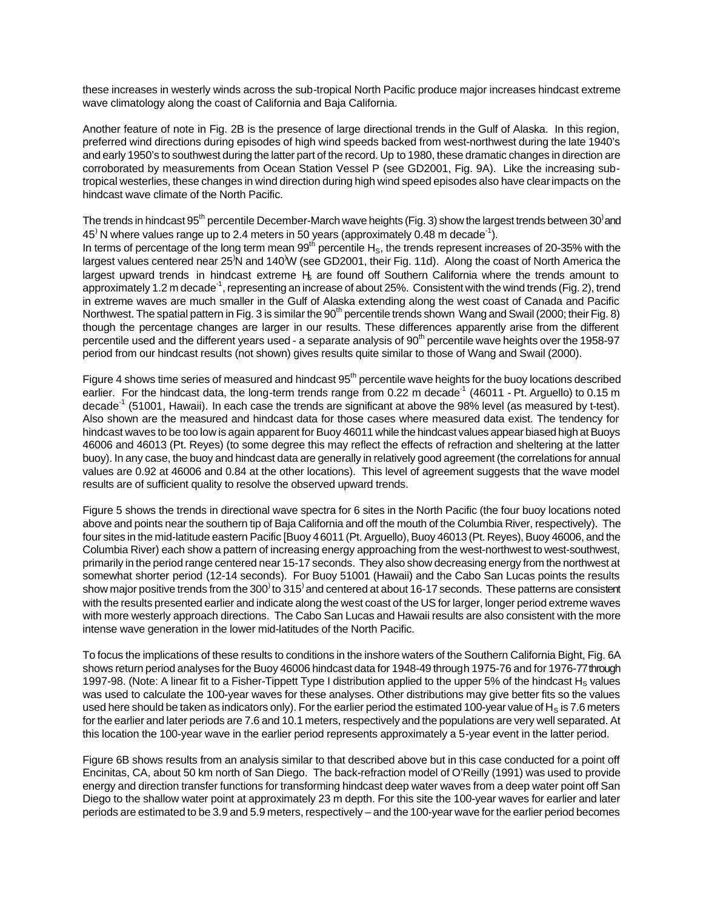these increases in westerly winds across the sub-tropical North Pacific produce major increases hindcast extreme wave climatology along the coast of California and Baja California.

Another feature of note in Fig. 2B is the presence of large directional trends in the Gulf of Alaska. In this region, preferred wind directions during episodes of high wind speeds backed from west-northwest during the late 1940's and early 1950's to southwest during the latter part of the record. Up to 1980, these dramatic changes in direction are corroborated by measurements from Ocean Station Vessel P (see GD2001, Fig. 9A). Like the increasing subtropical westerlies, these changes in wind direction during high wind speed episodes also have clear impacts on the hindcast wave climate of the North Pacific.

The trends in hindcast 95<sup>th</sup> percentile December-March wave heights (Fig. 3) show the largest trends between 30<sup>)</sup> and 45<sup>)</sup> N where values range up to 2.4 meters in 50 years (approximately 0.48 m decade<sup>-1</sup>).

In terms of percentage of the long term mean  $99^{th}$  percentile H<sub>S</sub>, the trends represent increases of 20-35% with the largest values centered near 25<sup>N</sup> and 140<sup>'W</sup> (see GD2001, their Fig. 11d). Along the coast of North America the largest upward trends in hindcast extreme  $H<sub>s</sub>$  are found off Southern California where the trends amount to approximately 1.2 m decade<sup>-1</sup>, representing an increase of about 25%. Consistent with the wind trends (Fig. 2), trend in extreme waves are much smaller in the Gulf of Alaska extending along the west coast of Canada and Pacific Northwest. The spatial pattern in Fig. 3 is similar the 90<sup>th</sup> percentile trends shown Wang and Swail (2000; their Fig. 8) though the percentage changes are larger in our results. These differences apparently arise from the different percentile used and the different years used - a separate analysis of 90<sup>th</sup> percentile wave heights over the 1958-97 period from our hindcast results (not shown) gives results quite similar to those of Wang and Swail (2000).

Figure 4 shows time series of measured and hindcast 95<sup>th</sup> percentile wave heights for the buoy locations described earlier. For the hindcast data, the long-term trends range from 0.22 m decade<sup>-1</sup> (46011 - Pt. Arguello) to 0.15 m decade<sup>-1</sup> (51001, Hawaii). In each case the trends are significant at above the 98% level (as measured by t-test). Also shown are the measured and hindcast data for those cases where measured data exist. The tendency for hindcast waves to be too low is again apparent for Buoy 46011 while the hindcast values appear biased high at Buoys 46006 and 46013 (Pt. Reyes) (to some degree this may reflect the effects of refraction and sheltering at the latter buoy). In any case, the buoy and hindcast data are generally in relatively good agreement (the correlations for annual values are 0.92 at 46006 and 0.84 at the other locations). This level of agreement suggests that the wave model results are of sufficient quality to resolve the observed upward trends.

Figure 5 shows the trends in directional wave spectra for 6 sites in the North Pacific (the four buoy locations noted above and points near the southern tip of Baja California and off the mouth of the Columbia River, respectively). The four sites in the mid-latitude eastern Pacific [Buoy 46011 (Pt. Arguello), Buoy 46013 (Pt. Reyes), Buoy 46006, and the Columbia River) each show a pattern of increasing energy approaching from the west-northwest to west-southwest, primarily in the period range centered near 15-17 seconds. They also show decreasing energy from the northwest at somewhat shorter period (12-14 seconds). For Buoy 51001 (Hawaii) and the Cabo San Lucas points the results show major positive trends from the 300 $\degree$ to 315 $\degree$ and centered at about 16-17 seconds. These patterns are consistent with the results presented earlier and indicate along the west coast of the US for larger, longer period extreme waves with more westerly approach directions. The Cabo San Lucas and Hawaii results are also consistent with the more intense wave generation in the lower mid-latitudes of the North Pacific.

To focus the implications of these results to conditions in the inshore waters of the Southern California Bight, Fig. 6A shows return period analyses for the Buoy 46006 hindcast data for 1948-49 through 1975-76 and for 1976-77 through 1997-98. (Note: A linear fit to a Fisher-Tippett Type I distribution applied to the upper 5% of the hindcast  $H_s$  values was used to calculate the 100-year waves for these analyses. Other distributions may give better fits so the values used here should be taken as indicators only). For the earlier period the estimated 100-year value of  $H_S$  is 7.6 meters for the earlier and later periods are 7.6 and 10.1 meters, respectively and the populations are very well separated. At this location the 100-year wave in the earlier period represents approximately a 5-year event in the latter period.

Figure 6B shows results from an analysis similar to that described above but in this case conducted for a point off Encinitas, CA, about 50 km north of San Diego. The back-refraction model of O'Reilly (1991) was used to provide energy and direction transfer functions for transforming hindcast deep water waves from a deep water point off San Diego to the shallow water point at approximately 23 m depth. For this site the 100-year waves for earlier and later periods are estimated to be 3.9 and 5.9 meters, respectively – and the 100-year wave for the earlier period becomes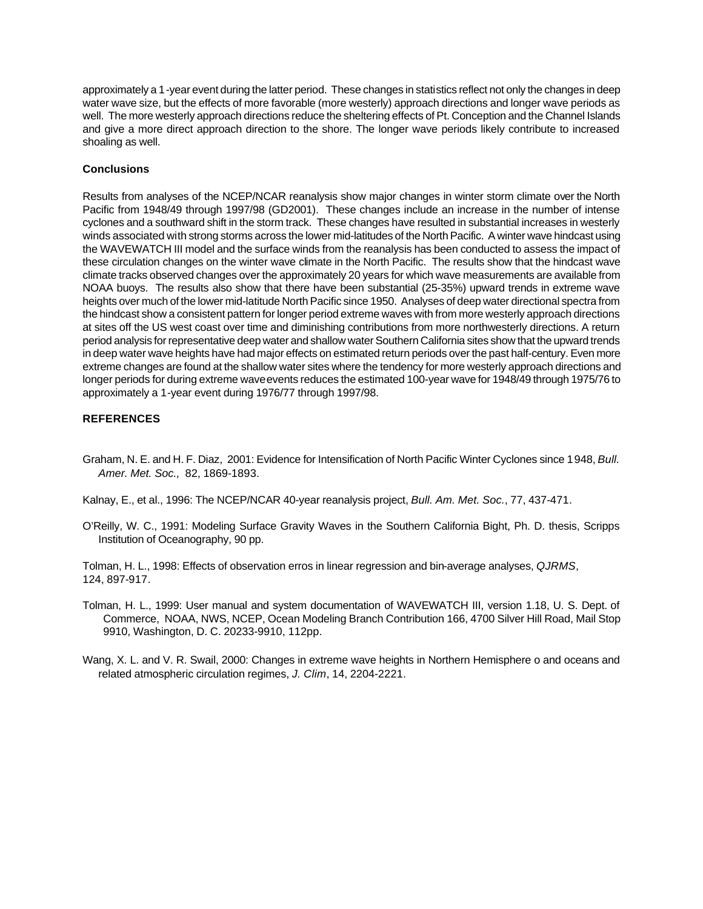approximately a 1-year event during the latter period. These changes in statistics reflect not only the changes in deep water wave size, but the effects of more favorable (more westerly) approach directions and longer wave periods as well. The more westerly approach directions reduce the sheltering effects of Pt. Conception and the Channel Islands and give a more direct approach direction to the shore. The longer wave periods likely contribute to increased shoaling as well.

## **Conclusions**

Results from analyses of the NCEP/NCAR reanalysis show major changes in winter storm climate over the North Pacific from 1948/49 through 1997/98 (GD2001). These changes include an increase in the number of intense cyclones and a southward shift in the storm track. These changes have resulted in substantial increases in westerly winds associated with strong storms across the lower mid-latitudes of the North Pacific. A winter wave hindcast using the WAVEWATCH III model and the surface winds from the reanalysis has been conducted to assess the impact of these circulation changes on the winter wave climate in the North Pacific. The results show that the hindcast wave climate tracks observed changes over the approximately 20 years for which wave measurements are available from NOAA buoys. The results also show that there have been substantial (25-35%) upward trends in extreme wave heights over much of the lower mid-latitude North Pacific since 1950. Analyses of deep water directional spectra from the hindcast show a consistent pattern for longer period extreme waves with from more westerly approach directions at sites off the US west coast over time and diminishing contributions from more northwesterly directions. A return period analysis for representative deep water and shallow water Southern California sites show that the upward trends in deep water wave heights have had major effects on estimated return periods over the past half-century. Even more extreme changes are found at the shallow water sites where the tendency for more westerly approach directions and longer periods for during extreme wave events reduces the estimated 100-year wave for 1948/49 through 1975/76 to approximately a 1-year event during 1976/77 through 1997/98.

## **REFERENCES**

Graham, N. E. and H. F. Diaz, 2001: Evidence for Intensification of North Pacific Winter Cyclones since 1948, *Bull. Amer. Met. Soc.,* 82, 1869-1893.

Kalnay, E., et al., 1996: The NCEP/NCAR 40-year reanalysis project, *Bull. Am. Met. Soc.*, 77, 437-471.

O'Reilly, W. C., 1991: Modeling Surface Gravity Waves in the Southern California Bight, Ph. D. thesis, Scripps Institution of Oceanography, 90 pp.

Tolman, H. L., 1998: Effects of observation erros in linear regression and bin-average analyses, *QJRMS*, 124, 897-917.

- Tolman, H. L., 1999: User manual and system documentation of WAVEWATCH III, version 1.18, U. S. Dept. of Commerce, NOAA, NWS, NCEP, Ocean Modeling Branch Contribution 166, 4700 Silver Hill Road, Mail Stop 9910, Washington, D. C. 20233-9910, 112pp.
- Wang, X. L. and V. R. Swail, 2000: Changes in extreme wave heights in Northern Hemisphere o and oceans and related atmospheric circulation regimes, *J. Clim*, 14, 2204-2221.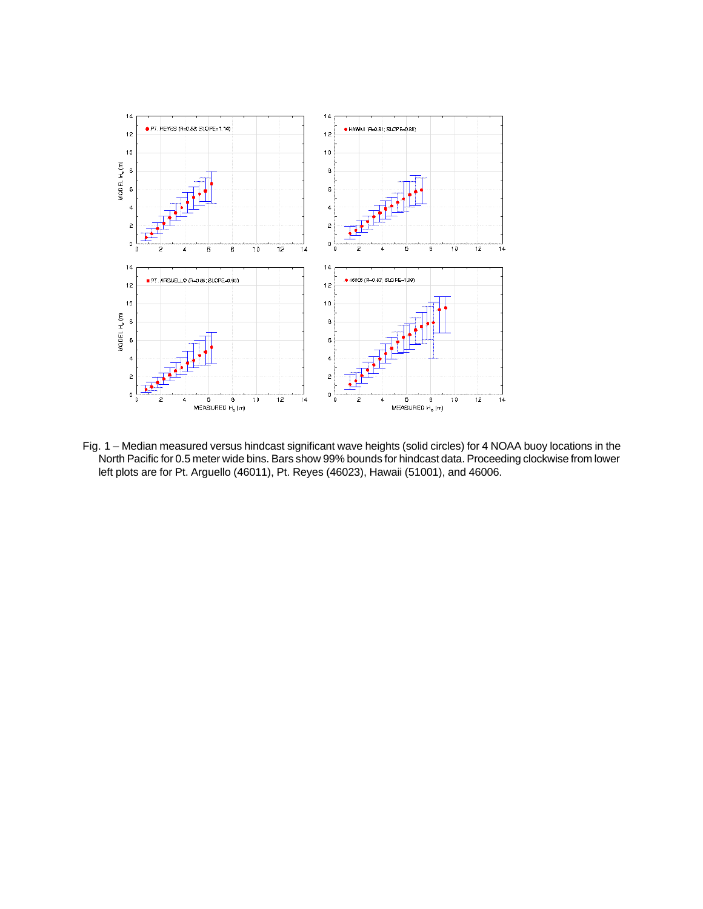

Fig. 1 – Median measured versus hindcast significant wave heights (solid circles) for 4 NOAA buoy locations in the North Pacific for 0.5 meter wide bins. Bars show 99% bounds for hindcast data. Proceeding clockwise from lower left plots are for Pt. Arguello (46011), Pt. Reyes (46023), Hawaii (51001), and 46006.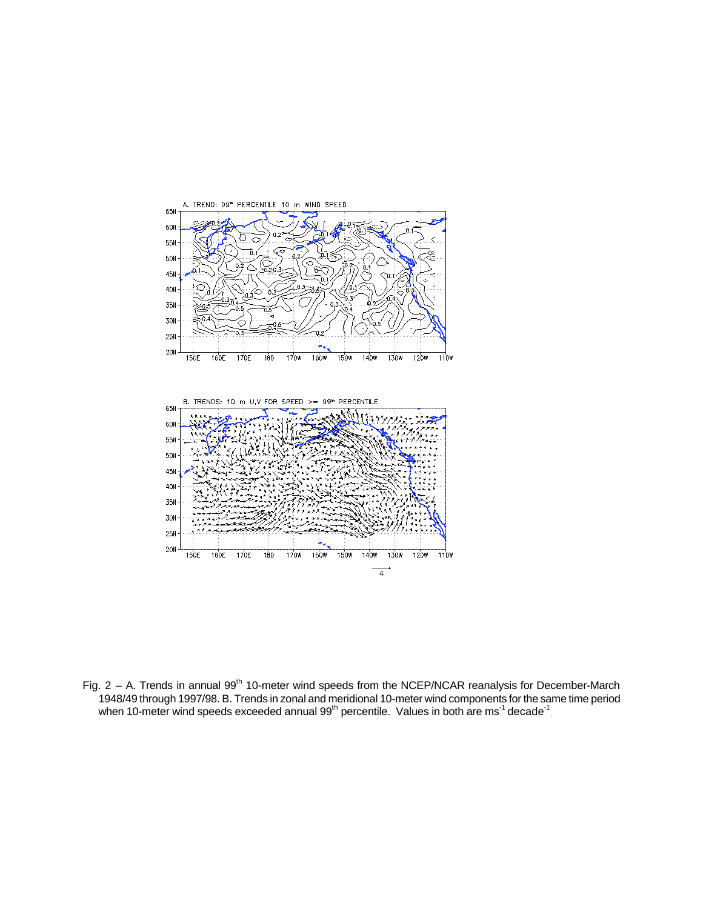

Fig. 2 – A. Trends in annual  $99<sup>th</sup>$  10-meter wind speeds from the NCEP/NCAR reanalysis for December-March 1948/49 through 1997/98. B. Trends in zonal and meridional 10-meter wind components for the same time period when 10-meter wind speeds exceeded annual 99<sup>th</sup> percentile. Values in both are ms<sup>-1</sup> decade<sup>-1</sup>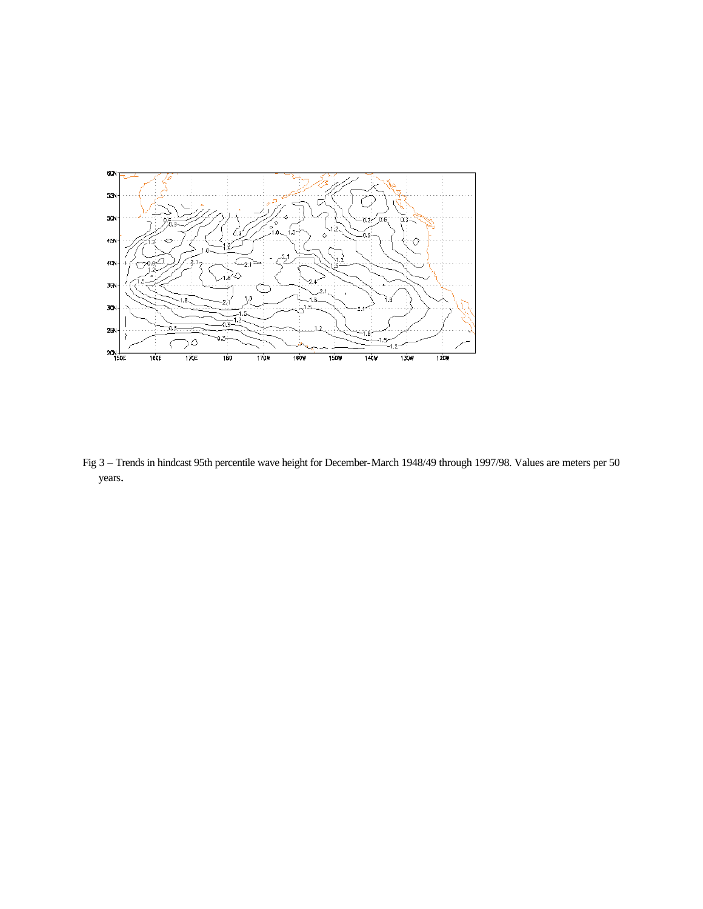

Fig 3 – Trends in hindcast 95th percentile wave height for December-March 1948/49 through 1997/98. Values are meters per 50 years.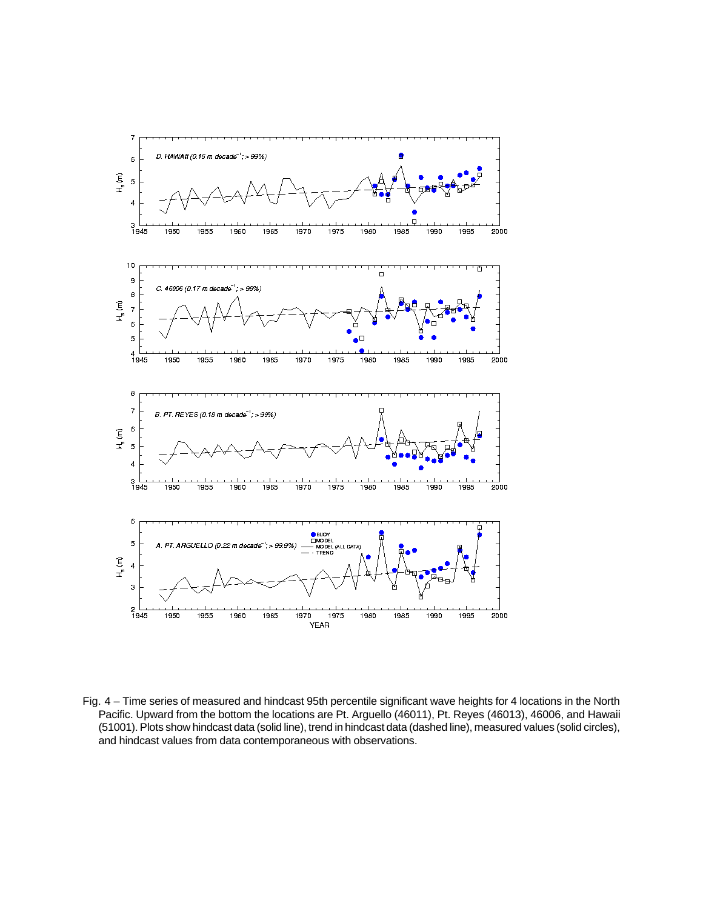

Fig. 4 – Time series of measured and hindcast 95th percentile significant wave heights for 4 locations in the North Pacific. Upward from the bottom the locations are Pt. Arguello (46011), Pt. Reyes (46013), 46006, and Hawaii (51001). Plots show hindcast data (solid line), trend in hindcast data (dashed line), measured values (solid circles), and hindcast values from data contemporaneous with observations.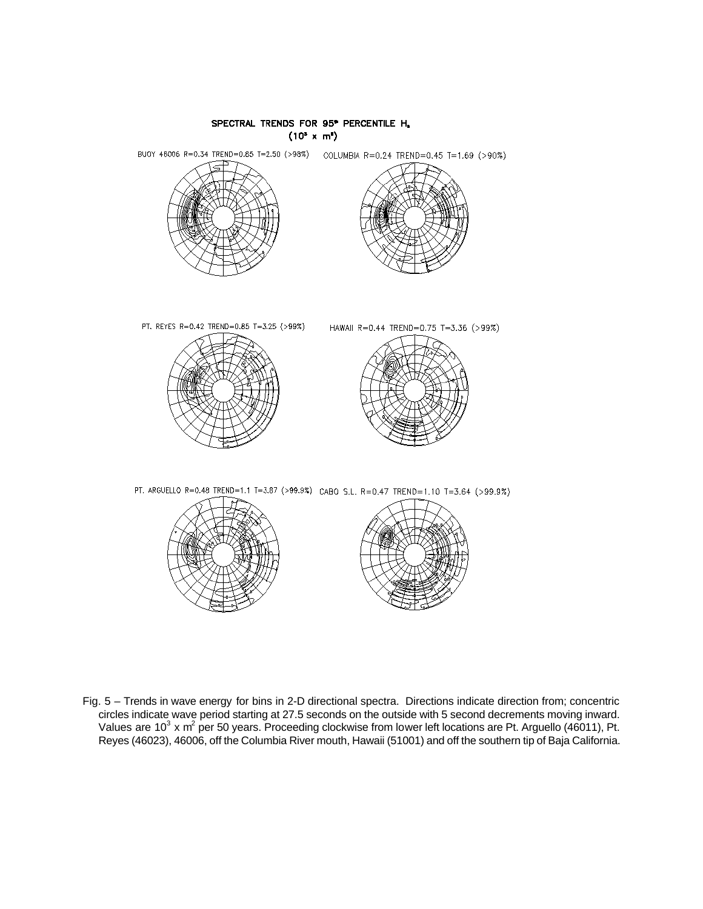

Fig. 5 – Trends in wave energy for bins in 2-D directional spectra. Directions indicate direction from; concentric circles indicate wave period starting at 27.5 seconds on the outside with 5 second decrements moving inward. Values are 10<sup>3</sup> x m<sup>2</sup> per 50 years. Proceeding clockwise from lower left locations are Pt. Arguello (46011), Pt. Reyes (46023), 46006, off the Columbia River mouth, Hawaii (51001) and off the southern tip of Baja California.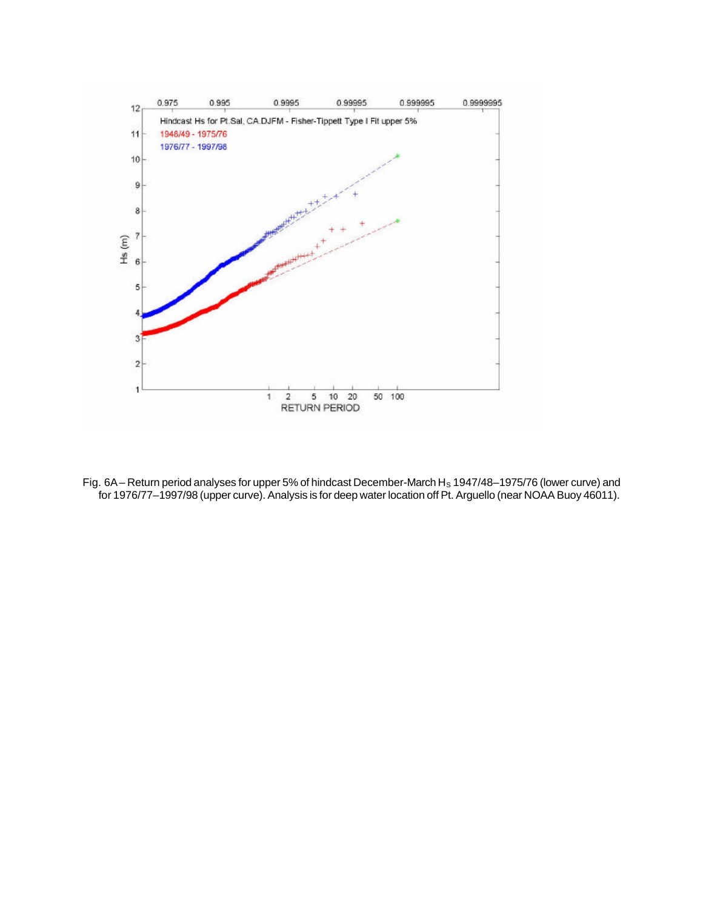

Fig. 6A – Return period analyses for upper 5% of hindcast December-March H<sub>s</sub> 1947/48–1975/76 (lower curve) and for 1976/77–1997/98 (upper curve). Analysis is for deep water location off Pt. Arguello (near NOAA Buoy 46011).